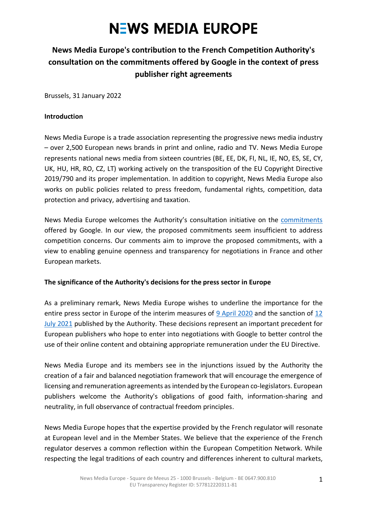#### **News Media Europe's contribution to the French Competition Authority's consultation on the commitments offered by Google in the context of press publisher right agreements**

Brussels, 31 January 2022

#### **Introduction**

News Media Europe is a trade association representing the progressive news media industry – over 2,500 European news brands in print and online, radio and TV. News Media Europe represents national news media from sixteen countries (BE, EE, DK, FI, NL, IE, NO, ES, SE, CY, UK, HU, HR, RO, CZ, LT) working actively on the transposition of the EU Copyright Directive 2019/790 and its proper implementation. In addition to copyright, News Media Europe also works on public policies related to press freedom, fundamental rights, competition, data protection and privacy, advertising and taxation.

News Media Europe welcomes the Authority's consultation initiative on the [commitments](https://www.autoritedelaconcurrence.fr/sites/default/files/prop_enga_google_dtsvoisins_dec21.pdf) offered by Google. In our view, the proposed commitments seem insufficient to address competition concerns. Our comments aim to improve the proposed commitments, with a view to enabling genuine openness and transparency for negotiations in France and other European markets.

#### **The significance of the Authority's decisions for the press sector in Europe**

As a preliminary remark, News Media Europe wishes to underline the importance for the entire press sector in Europe of the interim measures of [9 April 2020](https://www.autoritedelaconcurrence.fr/en/decision/requests-interim-measures-syndicat-des-editeurs-de-la-presse-magazine-alliance-de-la) and the sanction of 12 [July 2021](https://www.autoritedelaconcurrence.fr/en/press-release/remuneration-related-rights-press-publishers-and-agencies-autorite-fines-google-500) published by the Authority. These decisions represent an important precedent for European publishers who hope to enter into negotiations with Google to better control the use of their online content and obtaining appropriate remuneration under the EU Directive.

News Media Europe and its members see in the injunctions issued by the Authority the creation of a fair and balanced negotiation framework that will encourage the emergence of licensing and remuneration agreements as intended by the European co-legislators. European publishers welcome the Authority's obligations of good faith, information-sharing and neutrality, in full observance of contractual freedom principles.

News Media Europe hopes that the expertise provided by the French regulator will resonate at European level and in the Member States. We believe that the experience of the French regulator deserves a common reflection within the European Competition Network. While respecting the legal traditions of each country and differences inherent to cultural markets,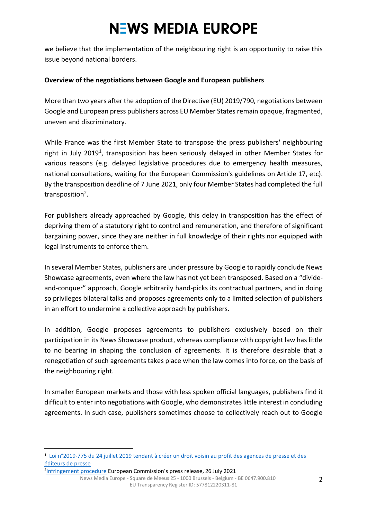we believe that the implementation of the neighbouring right is an opportunity to raise this issue beyond national borders.

#### **Overview of the negotiations between Google and European publishers**

More than two years after the adoption of the Directive (EU) 2019/790, negotiations between Google and European press publishers across EU Member States remain opaque, fragmented, uneven and discriminatory.

While France was the first Member State to transpose the press publishers' neighbouring right in July 2019<sup>1</sup>, transposition has been seriously delayed in other Member States for various reasons (e.g. delayed legislative procedures due to emergency health measures, national consultations, waiting for the European Commission's guidelines on Article 17, etc). By the transposition deadline of 7 June 2021, only four Member States had completed the full transposition<sup>2</sup>.

For publishers already approached by Google, this delay in transposition has the effect of depriving them of a statutory right to control and remuneration, and therefore of significant bargaining power, since they are neither in full knowledge of their rights nor equipped with legal instruments to enforce them.

In several Member States, publishers are under pressure by Google to rapidly conclude News Showcase agreements, even where the law has not yet been transposed. Based on a "divideand-conquer" approach, Google arbitrarily hand-picks its contractual partners, and in doing so privileges bilateral talks and proposes agreements only to a limited selection of publishers in an effort to undermine a collective approach by publishers.

In addition, Google proposes agreements to publishers exclusively based on their participation in its News Showcase product, whereas compliance with copyright law has little to no bearing in shaping the conclusion of agreements. It is therefore desirable that a renegotiation of such agreements takes place when the law comes into force, on the basis of the neighbouring right.

In smaller European markets and those with less spoken official languages, publishers find it difficult to enter into negotiations with Google, who demonstrates little interest in concluding agreements. In such case, publishers sometimes choose to collectively reach out to Google

<sup>2</sup>[Infringement procedure](https://ec.europa.eu/commission/presscorner/detail/en/MEX_21_3902) European Commission's press release, 26 July 2021

<sup>1</sup> [Loi n°2019-775 du 24 juillet 2019 tendant à créer un droit voisin au profit des agences de presse et des](https://www.legifrance.gouv.fr/jorf/id/JORFTEXT000038821358)  [éditeurs de presse](https://www.legifrance.gouv.fr/jorf/id/JORFTEXT000038821358)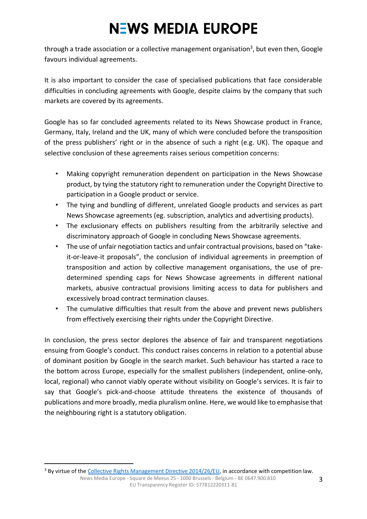through a trade association or a collective management organisation<sup>3</sup>, but even then, Google favours individual agreements.

It is also important to consider the case of specialised publications that face considerable difficulties in concluding agreements with Google, despite claims by the company that such markets are covered by its agreements.

Google has so far concluded agreements related to its News Showcase product in France, Germany, Italy, Ireland and the UK, many of which were concluded before the transposition of the press publishers' right or in the absence of such a right (e.g. UK). The opaque and selective conclusion of these agreements raises serious competition concerns:

- Making copyright remuneration dependent on participation in the News Showcase product, by tying the statutory right to remuneration under the Copyright Directive to participation in a Google product or service.
- The tying and bundling of different, unrelated Google products and services as part News Showcase agreements (eg. subscription, analytics and advertising products).
- The exclusionary effects on publishers resulting from the arbitrarily selective and discriminatory approach of Google in concluding News Showcase agreements.
- The use of unfair negotiation tactics and unfair contractual provisions, based on "takeit-or-leave-it proposals", the conclusion of individual agreements in preemption of transposition and action by collective management organisations, the use of predetermined spending caps for News Showcase agreements in different national markets, abusive contractual provisions limiting access to data for publishers and excessively broad contract termination clauses.
- The cumulative difficulties that result from the above and prevent news publishers from effectively exercising their rights under the Copyright Directive.

In conclusion, the press sector deplores the absence of fair and transparent negotiations ensuing from Google's conduct. This conduct raises concerns in relation to a potential abuse of dominant position by Google in the search market. Such behaviour has started a race to the bottom across Europe, especially for the smallest publishers (independent, online-only, local, regional) who cannot viably operate without visibility on Google's services. It is fair to say that Google's pick-and-choose attitude threatens the existence of thousands of publications and more broadly, media pluralism online. Here, we would like to emphasise that the neighbouring right is a statutory obligation.

<sup>&</sup>lt;sup>3</sup> By virtue of the [Collective Rights Management Directive 2014/26/EU,](https://eur-lex.europa.eu/legal-content/EN/TXT/?uri=celex%3A32014L0026) in accordance with competition law.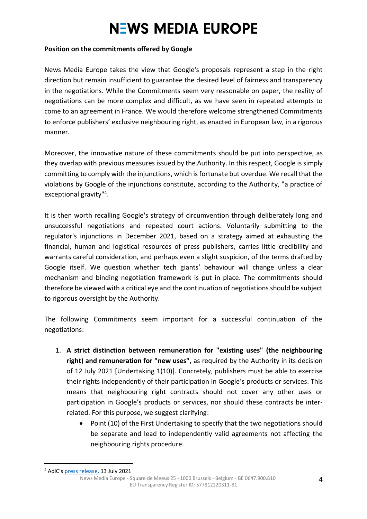#### **Position on the commitments offered by Google**

News Media Europe takes the view that Google's proposals represent a step in the right direction but remain insufficient to guarantee the desired level of fairness and transparency in the negotiations. While the Commitments seem very reasonable on paper, the reality of negotiations can be more complex and difficult, as we have seen in repeated attempts to come to an agreement in France. We would therefore welcome strengthened Commitments to enforce publishers' exclusive neighbouring right, as enacted in European law, in a rigorous manner.

Moreover, the innovative nature of these commitments should be put into perspective, as they overlap with previous measures issued by the Authority. In this respect, Google is simply committing to comply with the injunctions, which is fortunate but overdue. We recall that the violations by Google of the injunctions constitute, according to the Authority, "a practice of exceptional gravity"<sup>4</sup>.

It is then worth recalling Google's strategy of circumvention through deliberately long and unsuccessful negotiations and repeated court actions. Voluntarily submitting to the regulator's injunctions in December 2021, based on a strategy aimed at exhausting the financial, human and logistical resources of press publishers, carries little credibility and warrants careful consideration, and perhaps even a slight suspicion, of the terms drafted by Google itself. We question whether tech giants' behaviour will change unless a clear mechanism and binding negotiation framework is put in place. The commitments should therefore be viewed with a critical eye and the continuation of negotiations should be subject to rigorous oversight by the Authority.

The following Commitments seem important for a successful continuation of the negotiations:

- 1. **A strict distinction between remuneration for "existing uses" (the neighbouring right) and remuneration for "new uses",** as required by the Authority in its decision of 12 July 2021 [Undertaking 1(10)]. Concretely, publishers must be able to exercise their rights independently of their participation in Google's products or services. This means that neighbouring right contracts should not cover any other uses or participation in Google's products or services, nor should these contracts be interrelated. For this purpose, we suggest clarifying:
	- Point (10) of the First Undertaking to specify that the two negotiations should be separate and lead to independently valid agreements not affecting the neighbouring rights procedure.

News Media Europe - Square de Meeus 25 - 1000 Brussels - Belgium - BE 0647.900.810 EU Transparency Register ID: 577812220311-81

<sup>4</sup> AdlC's [press release,](https://www.autoritedelaconcurrence.fr/fr/communiques-de-presse/remuneration-des-droits-voisins-lautorite-sanctionne-google-hauteur-de-500) 13 July 2021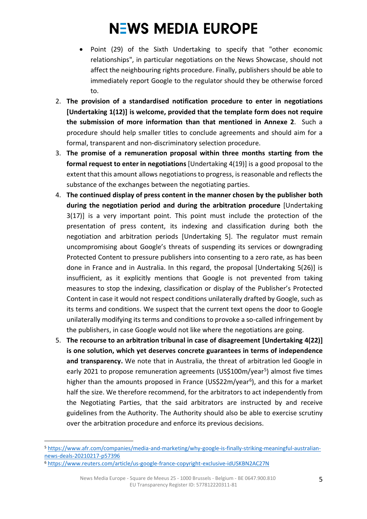- Point (29) of the Sixth Undertaking to specify that "other economic relationships", in particular negotiations on the News Showcase, should not affect the neighbouring rights procedure. Finally, publishers should be able to immediately report Google to the regulator should they be otherwise forced to.
- 2. **The provision of a standardised notification procedure to enter in negotiations [Undertaking 1(12)] is welcome, provided that the template form does not require the submission of more information than that mentioned in Annexe 2**. Such a procedure should help smaller titles to conclude agreements and should aim for a formal, transparent and non-discriminatory selection procedure.
- 3. **The promise of a remuneration proposal within three months starting from the formal request to enter in negotiations** [Undertaking 4(19)] is a good proposal to the extent that this amount allows negotiations to progress, is reasonable and reflects the substance of the exchanges between the negotiating parties.
- 4. **The continued display of press content in the manner chosen by the publisher both during the negotiation period and during the arbitration procedure** [Undertaking 3(17)] is a very important point. This point must include the protection of the presentation of press content, its indexing and classification during both the negotiation and arbitration periods [Undertaking 5]. The regulator must remain uncompromising about Google's threats of suspending its services or downgrading Protected Content to pressure publishers into consenting to a zero rate, as has been done in France and in Australia. In this regard, the proposal [Undertaking 5(26)] is insufficient, as it explicitly mentions that Google is not prevented from taking measures to stop the indexing, classification or display of the Publisher's Protected Content in case it would not respect conditions unilaterally drafted by Google, such as its terms and conditions. We suspect that the current text opens the door to Google unilaterally modifying its terms and conditions to provoke a so-called infringement by the publishers, in case Google would not like where the negotiations are going.
- 5. **The recourse to an arbitration tribunal in case of disagreement [Undertaking 4(22)] is one solution, which yet deserves concrete guarantees in terms of independence and transparency.** We note that in Australia, the threat of arbitration led Google in early 2021 to propose remuneration agreements (US\$100m/year<sup>5</sup>) almost five times higher than the amounts proposed in France (US\$22m/year<sup>6</sup>), and this for a market half the size. We therefore recommend, for the arbitrators to act independently from the Negotiating Parties, that the said arbitrators are instructed by and receive guidelines from the Authority. The Authority should also be able to exercise scrutiny over the arbitration procedure and enforce its previous decisions.

<sup>5</sup> [https://www.afr.com/companies/media-and-marketing/why-google-is-finally-striking-meaningful-australian](https://www.afr.com/companies/media-and-marketing/why-google-is-finally-striking-meaningful-australian-news-deals-20210217-p57396)[news-deals-20210217-p57396](https://www.afr.com/companies/media-and-marketing/why-google-is-finally-striking-meaningful-australian-news-deals-20210217-p57396)

<sup>6</sup> <https://www.reuters.com/article/us-google-france-copyright-exclusive-idUSKBN2AC27N>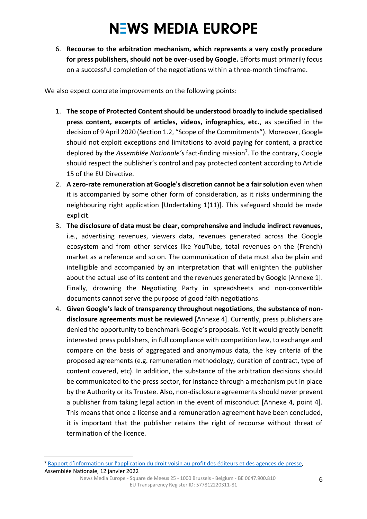6. **Recourse to the arbitration mechanism, which represents a very costly procedure for press publishers, should not be over-used by Google.** Efforts must primarily focus on a successful completion of the negotiations within a three-month timeframe.

We also expect concrete improvements on the following points:

- 1. **The scope of Protected Content should be understood broadly to include specialised press content, excerpts of articles, videos, infographics, etc.**, as specified in the decision of 9 April 2020 (Section 1.2, "Scope of the Commitments"). Moreover, Google should not exploit exceptions and limitations to avoid paying for content, a practice deplored by the *Assemblée Nationale's* fact-finding mission<sup>7</sup> . To the contrary, Google should respect the publisher's control and pay protected content according to Article 15 of the EU Directive.
- 2. **A zero-rate remuneration at Google's discretion cannot be a fair solution** even when it is accompanied by some other form of consideration, as it risks undermining the neighbouring right application [Undertaking 1(11)]. This safeguard should be made explicit.
- 3. **The disclosure of data must be clear, comprehensive and include indirect revenues,** i.e., advertising revenues, viewers data, revenues generated across the Google ecosystem and from other services like YouTube, total revenues on the (French) market as a reference and so on. The communication of data must also be plain and intelligible and accompanied by an interpretation that will enlighten the publisher about the actual use of its content and the revenues generated by Google [Annexe 1]. Finally, drowning the Negotiating Party in spreadsheets and non-convertible documents cannot serve the purpose of good faith negotiations.
- 4. **Given Google's lack of transparency throughout negotiations**, **the substance of nondisclosure agreements must be reviewed** [Annexe 4]. Currently, press publishers are denied the opportunity to benchmark Google's proposals. Yet it would greatly benefit interested press publishers, in full compliance with competition law, to exchange and compare on the basis of aggregated and anonymous data, the key criteria of the proposed agreements (e.g. remuneration methodology, duration of contract, type of content covered, etc). In addition, the substance of the arbitration decisions should be communicated to the press sector, for instance through a mechanism put in place by the Authority or its Trustee. Also, non-disclosure agreements should never prevent a publisher from taking legal action in the event of misconduct [Annexe 4, point 4]. This means that once a license and a remuneration agreement have been concluded, it is important that the publisher retains the right of recourse without threat of termination of the licence.

News Media Europe - Square de Meeus 25 - 1000 Brussels - Belgium - BE 0647.900.810 EU Transparency Register ID: 577812220311-81

<sup>7</sup> Rapport d'information [sur l'application du droit voisin au profit des](https://www.assemblee-nationale.fr/dyn/15/rapports/dv/l15b4902_rapport-information#_Toc256000025) éditeurs et des agences de presse, Assemblée Nationale, 12 janvier 2022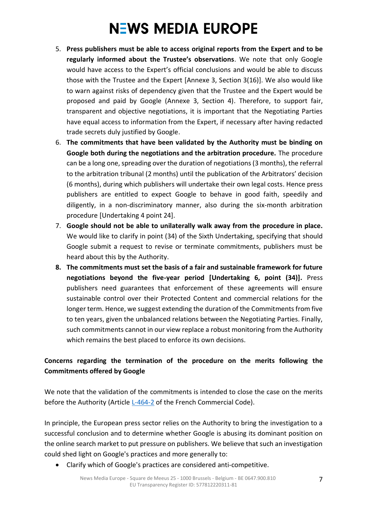- 5. **Press publishers must be able to access original reports from the Expert and to be regularly informed about the Trustee's observations**. We note that only Google would have access to the Expert's official conclusions and would be able to discuss those with the Trustee and the Expert [Annexe 3, Section 3(16)]. We also would like to warn against risks of dependency given that the Trustee and the Expert would be proposed and paid by Google (Annexe 3, Section 4). Therefore, to support fair, transparent and objective negotiations, it is important that the Negotiating Parties have equal access to information from the Expert, if necessary after having redacted trade secrets duly justified by Google.
- 6. **The commitments that have been validated by the Authority must be binding on Google both during the negotiations and the arbitration procedure.** The procedure can be a long one, spreading over the duration of negotiations (3 months), the referral to the arbitration tribunal (2 months) until the publication of the Arbitrators' decision (6 months), during which publishers will undertake their own legal costs. Hence press publishers are entitled to expect Google to behave in good faith, speedily and diligently, in a non-discriminatory manner, also during the six-month arbitration procedure [Undertaking 4 point 24].
- 7. **Google should not be able to unilaterally walk away from the procedure in place.** We would like to clarify in point (34) of the Sixth Undertaking, specifying that should Google submit a request to revise or terminate commitments, publishers must be heard about this by the Authority.
- **8. The commitments must set the basis of a fair and sustainable framework for future negotiations beyond the five-year period [Undertaking 6, point (34)].** Press publishers need guarantees that enforcement of these agreements will ensure sustainable control over their Protected Content and commercial relations for the longer term. Hence, we suggest extending the duration of the Commitments from five to ten years, given the unbalanced relations between the Negotiating Parties. Finally, such commitments cannot in our view replace a robust monitoring from the Authority which remains the best placed to enforce its own decisions.

#### **Concerns regarding the termination of the procedure on the merits following the Commitments offered by Google**

We note that the validation of the commitments is intended to close the case on the merits before the Authority (Article [L-464-2](https://www.legifrance.gouv.fr/codes/article_lc/LEGIARTI000043539806) of the French Commercial Code).

In principle, the European press sector relies on the Authority to bring the investigation to a successful conclusion and to determine whether Google is abusing its dominant position on the online search market to put pressure on publishers. We believe that such an investigation could shed light on Google's practices and more generally to:

• Clarify which of Google's practices are considered anti-competitive.